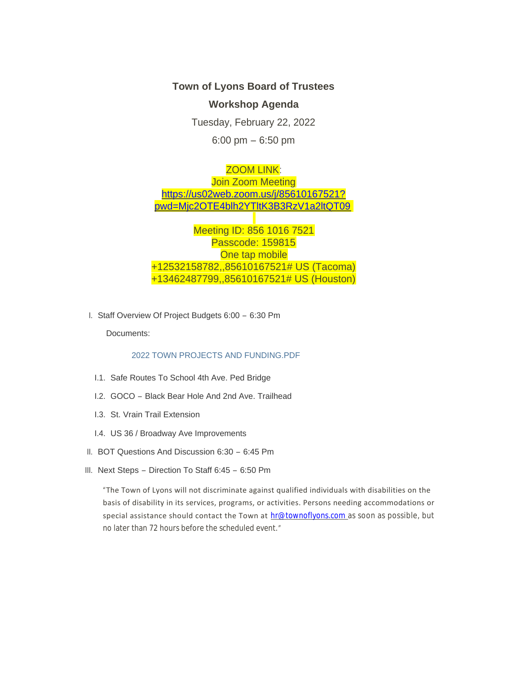**Town of Lyons Board of Trustees**

## **Workshop Agenda**

Tuesday, February 22, 2022

6:00 pm – 6:50 pm



I. Staff Overview Of Project Budgets 6:00 - 6:30 Pm

Documents:

## 2022 TOWN PROJECTS AND FUNDING.PDF

- I.1. Safe Routes To School 4th Ave. Ped Bridge
- I.2. GOCO Black Bear Hole And 2nd Ave. Trailhead
- I.3. St. Vrain Trail Extension
- I.4. US 36 / Broadway Ave Improvements
- II. BOT Questions And Discussion 6:30 6:45 Pm
- III. Next Steps Direction To Staff 6:45 6:50 Pm

"The Town of Lyons will not discriminate against qualified individuals with disabilities on the basis of disability in its services, programs, or activities. Persons needing accommodations or special assistance should contact the Town at [hr@townoflyons.com](mailto:hr@townoflyosn.com) as soon as possible, but no later than 72 hours before the scheduled event."